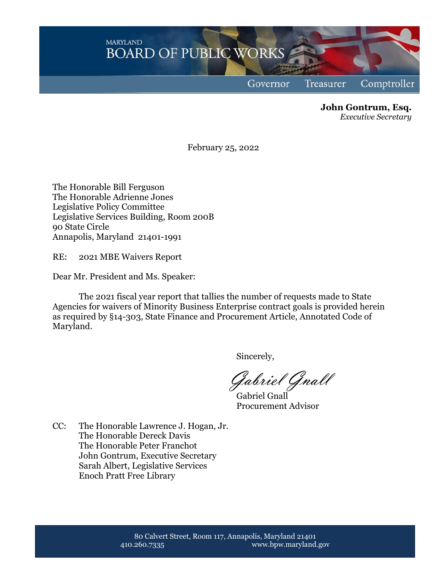**MARYLAND BOARD OF PUBLIC WORKS** Comptroller Governor Treasurer

> **John Gontrum, Esq.** *Executive Secretary*

February 25, 2022

The Honorable Bill Ferguson The Honorable Adrienne Jones Legislative Policy Committee Legislative Services Building, Room 200B 90 State Circle Annapolis, Maryland 21401-1991

RE: 2021 MBE Waivers Report

Dear Mr. President and Ms. Speaker:

The 2021 fiscal year report that tallies the number of requests made to State Agencies for waivers of Minority Business Enterprise contract goals is provided herein as required by §14-303, State Finance and Procurement Article, Annotated Code of Maryland.

Sincerely,

Gabriel Gnall

Gabriel Gnall Procurement Advisor

CC: The Honorable Lawrence J. Hogan, Jr. The Honorable Dereck Davis The Honorable Peter Franchot John Gontrum, Executive Secretary Sarah Albert, Legislative Services Enoch Pratt Free Library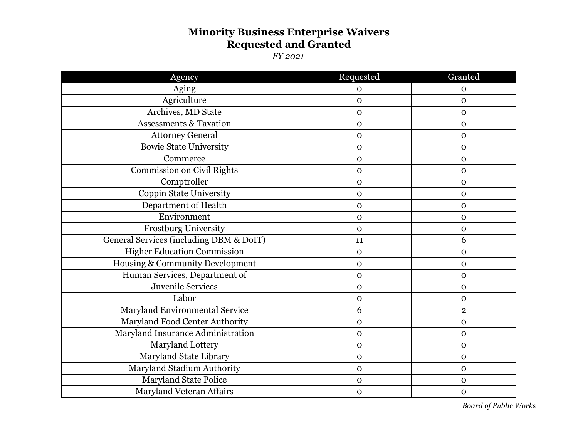## **Minority Business Enterprise Waivers Requested and Granted**

*FY 2021*

| Agency                                  | Requested    | Granted        |
|-----------------------------------------|--------------|----------------|
| Aging                                   | $\mathbf{O}$ | $\mathbf 0$    |
| Agriculture                             | $\mathbf{o}$ | $\mathbf{O}$   |
| Archives, MD State                      | $\mathbf{O}$ | $\mathbf 0$    |
| <b>Assessments &amp; Taxation</b>       | $\mathbf{O}$ | $\mathbf{O}$   |
| <b>Attorney General</b>                 | $\mathbf{O}$ | $\mathbf{O}$   |
| <b>Bowie State University</b>           | $\mathbf{O}$ | $\mathbf 0$    |
| Commerce                                | $\mathbf{O}$ | $\mathbf{O}$   |
| Commission on Civil Rights              | $\mathbf 0$  | $\mathbf{O}$   |
| Comptroller                             | $\mathbf 0$  | $\mathbf{O}$   |
| Coppin State University                 | $\mathbf{O}$ | $\mathbf 0$    |
| Department of Health                    | $\mathbf{O}$ | $\mathbf{O}$   |
| Environment                             | $\mathbf O$  | $\mathbf 0$    |
| Frostburg University                    | $\mathbf 0$  | $\mathbf 0$    |
| General Services (including DBM & DoIT) | 11           | 6              |
| <b>Higher Education Commission</b>      | $\mathbf{O}$ | $\mathbf 0$    |
| Housing & Community Development         | $\mathbf{O}$ | $\mathbf 0$    |
| Human Services, Department of           | $\mathbf 0$  | $\mathbf{O}$   |
| <b>Juvenile Services</b>                | $\mathbf 0$  | $\mathbf{O}$   |
| Labor                                   | $\mathbf{O}$ | $\mathbf{O}$   |
| Maryland Environmental Service          | 6            | $\overline{2}$ |
| Maryland Food Center Authority          | $\mathbf{O}$ | $\mathbf 0$    |
| Maryland Insurance Administration       | $\mathbf O$  | $\mathbf 0$    |
| Maryland Lottery                        | $\mathbf{O}$ | $\mathbf{O}$   |
| Maryland State Library                  | $\mathbf{O}$ | $\mathbf{O}$   |
| Maryland Stadium Authority              | $\mathbf{O}$ | $\mathbf{O}$   |
| <b>Maryland State Police</b>            | $\mathbf O$  | $\mathbf{O}$   |
| <b>Maryland Veteran Affairs</b>         | $\mathbf 0$  | $\mathbf 0$    |

*Board of Public Works*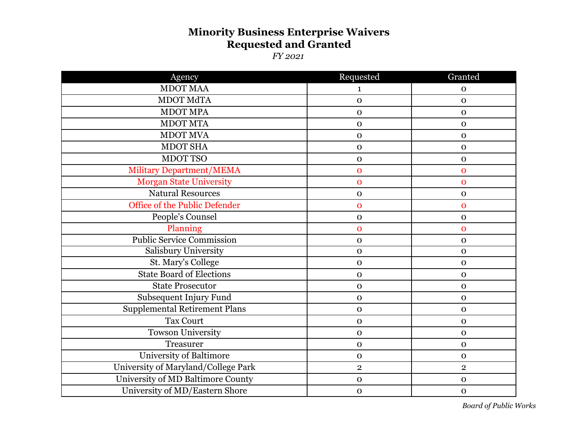## **Minority Business Enterprise Waivers Requested and Granted**

*FY 2021*

| Agency                               | Requested      | Granted        |
|--------------------------------------|----------------|----------------|
| <b>MDOT MAA</b>                      | 1              | $\mathbf 0$    |
| MDOT MdTA                            | $\mathbf{O}$   | $\mathbf 0$    |
| <b>MDOT MPA</b>                      | $\mathbf{O}$   | $\mathbf{O}$   |
| <b>MDOT MTA</b>                      | $\mathbf{O}$   | $\mathbf 0$    |
| <b>MDOT MVA</b>                      | $\mathbf{O}$   | $\mathbf 0$    |
| <b>MDOT SHA</b>                      | $\mathbf{O}$   | $\mathbf 0$    |
| <b>MDOT TSO</b>                      | $\mathbf{O}$   | $\mathbf 0$    |
| <b>Military Department/MEMA</b>      | $\mathbf{O}$   | $\overline{0}$ |
| <b>Morgan State University</b>       | $\overline{0}$ | $\mathbf 0$    |
| <b>Natural Resources</b>             | $\mathbf{O}$   | $\mathbf 0$    |
| Office of the Public Defender        | $\mathbf{O}$   | $\mathbf 0$    |
| People's Counsel                     | $\mathbf O$    | $\mathbf 0$    |
| Planning                             | $\mathbf{O}$   | $\mathbf 0$    |
| <b>Public Service Commission</b>     | $\mathbf O$    | $\mathbf 0$    |
| Salisbury University                 | $\mathbf{O}$   | $\mathbf 0$    |
| St. Mary's College                   | $\mathbf{O}$   | $\mathbf 0$    |
| <b>State Board of Elections</b>      | $\mathbf{O}$   | $\mathbf 0$    |
| <b>State Prosecutor</b>              | $\mathbf{O}$   | $\mathbf{O}$   |
| Subsequent Injury Fund               | $\mathbf{O}$   | $\mathbf O$    |
| <b>Supplemental Retirement Plans</b> | $\mathbf{O}$   | $\mathbf 0$    |
| <b>Tax Court</b>                     | $\mathbf{O}$   | $\mathbf{O}$   |
| Towson University                    | $\mathbf{O}$   | $\mathbf O$    |
| Treasurer                            | $\mathbf{O}$   | $\mathbf 0$    |
| <b>University of Baltimore</b>       | $\mathbf{O}$   | $\mathbf{O}$   |
| University of Maryland/College Park  | $\mathbf{2}$   | $\overline{2}$ |
| University of MD Baltimore County    | $\mathbf{O}$   | $\mathbf 0$    |
| University of MD/Eastern Shore       | $\mathbf{O}$   | $\mathbf 0$    |

*Board of Public Works*